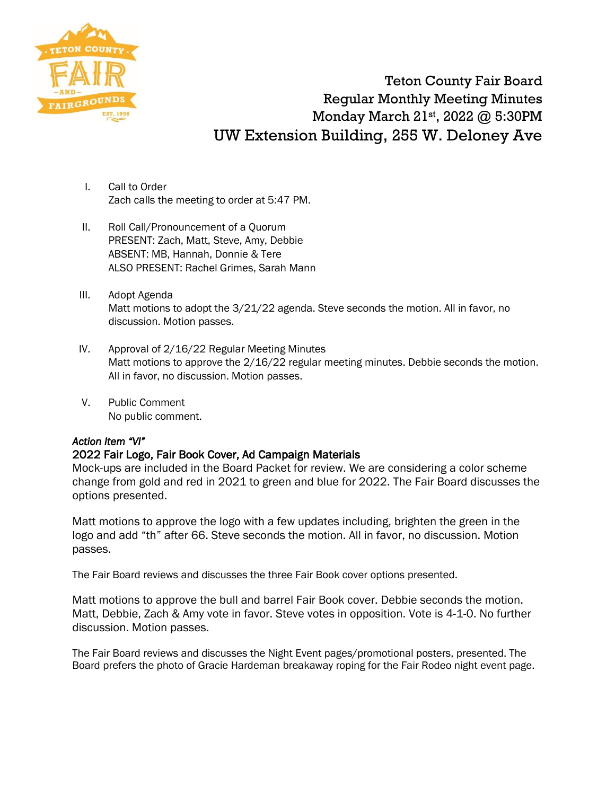

Teton County Fair Board Regular Monthly Meeting Minutes Monday March 21st, 2022 @ 5:30PM UW Extension Building, 255 W. Deloney Ave

- I. Call to Order Zach calls the meeting to order at 5:47 PM.
- II. Roll Call/Pronouncement of a Quorum PRESENT: Zach, Matt, Steve, Amy, Debbie ABSENT: MB, Hannah, Donnie & Tere ALSO PRESENT: Rachel Grimes, Sarah Mann
- III. Adopt Agenda Matt motions to adopt the 3/21/22 agenda. Steve seconds the motion. All in favor, no discussion. Motion passes.
- IV. Approval of 2/16/22 Regular Meeting Minutes Matt motions to approve the 2/16/22 regular meeting minutes. Debbie seconds the motion. All in favor, no discussion. Motion passes.
- V. Public Comment No public comment.

#### *Action Item "VI"*

## 2022 Fair Logo, Fair Book Cover, Ad Campaign Materials

Mock-ups are included in the Board Packet for review. We are considering a color scheme change from gold and red in 2021 to green and blue for 2022. The Fair Board discusses the options presented.

Matt motions to approve the logo with a few updates including, brighten the green in the logo and add "th" after 66. Steve seconds the motion. All in favor, no discussion. Motion passes.

The Fair Board reviews and discusses the three Fair Book cover options presented.

Matt motions to approve the bull and barrel Fair Book cover. Debbie seconds the motion. Matt, Debbie, Zach & Amy vote in favor. Steve votes in opposition. Vote is 4-1-0. No further discussion. Motion passes.

The Fair Board reviews and discusses the Night Event pages/promotional posters, presented. The Board prefers the photo of Gracie Hardeman breakaway roping for the Fair Rodeo night event page.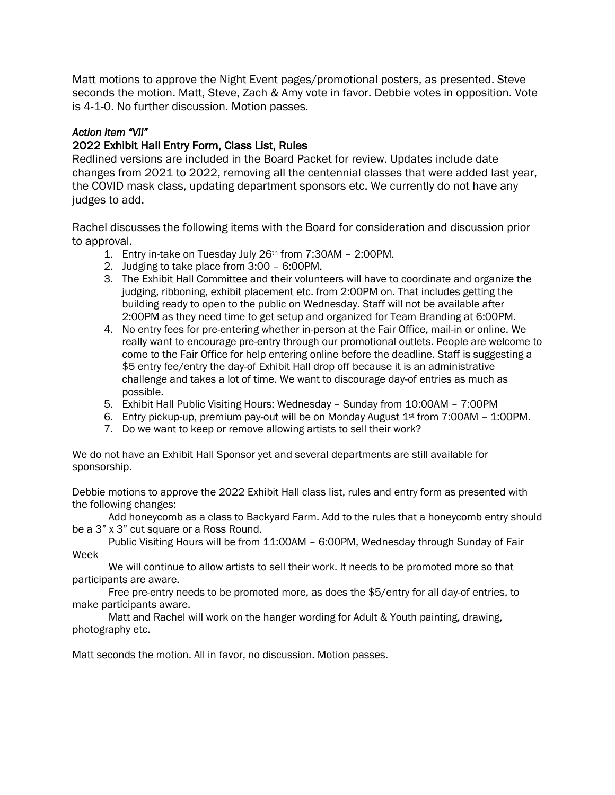Matt motions to approve the Night Event pages/promotional posters, as presented. Steve seconds the motion. Matt, Steve, Zach & Amy vote in favor. Debbie votes in opposition. Vote is 4-1-0. No further discussion. Motion passes.

#### *Action Item "VII"*

### 2022 Exhibit Hall Entry Form, Class List, Rules

Redlined versions are included in the Board Packet for review. Updates include date changes from 2021 to 2022, removing all the centennial classes that were added last year, the COVID mask class, updating department sponsors etc. We currently do not have any judges to add.

Rachel discusses the following items with the Board for consideration and discussion prior to approval.

- 1. Entry in-take on Tuesday July 26th from 7:30AM 2:00PM.
- 2. Judging to take place from 3:00 6:00PM.
- 3. The Exhibit Hall Committee and their volunteers will have to coordinate and organize the judging, ribboning, exhibit placement etc. from 2:00PM on. That includes getting the building ready to open to the public on Wednesday. Staff will not be available after 2:00PM as they need time to get setup and organized for Team Branding at 6:00PM.
- 4. No entry fees for pre-entering whether in-person at the Fair Office, mail-in or online. We really want to encourage pre-entry through our promotional outlets. People are welcome to come to the Fair Office for help entering online before the deadline. Staff is suggesting a \$5 entry fee/entry the day-of Exhibit Hall drop off because it is an administrative challenge and takes a lot of time. We want to discourage day-of entries as much as possible.
- 5. Exhibit Hall Public Visiting Hours: Wednesday Sunday from 10:00AM 7:00PM
- 6. Entry pickup-up, premium pay-out will be on Monday August  $1<sup>st</sup>$  from 7:00AM 1:00PM.
- 7. Do we want to keep or remove allowing artists to sell their work?

We do not have an Exhibit Hall Sponsor yet and several departments are still available for sponsorship.

Debbie motions to approve the 2022 Exhibit Hall class list, rules and entry form as presented with the following changes:

Add honeycomb as a class to Backyard Farm. Add to the rules that a honeycomb entry should be a 3" x 3" cut square or a Ross Round.

Public Visiting Hours will be from 11:00AM – 6:00PM, Wednesday through Sunday of Fair Week

We will continue to allow artists to sell their work. It needs to be promoted more so that participants are aware.

Free pre-entry needs to be promoted more, as does the \$5/entry for all day-of entries, to make participants aware.

Matt and Rachel will work on the hanger wording for Adult & Youth painting, drawing, photography etc.

Matt seconds the motion. All in favor, no discussion. Motion passes.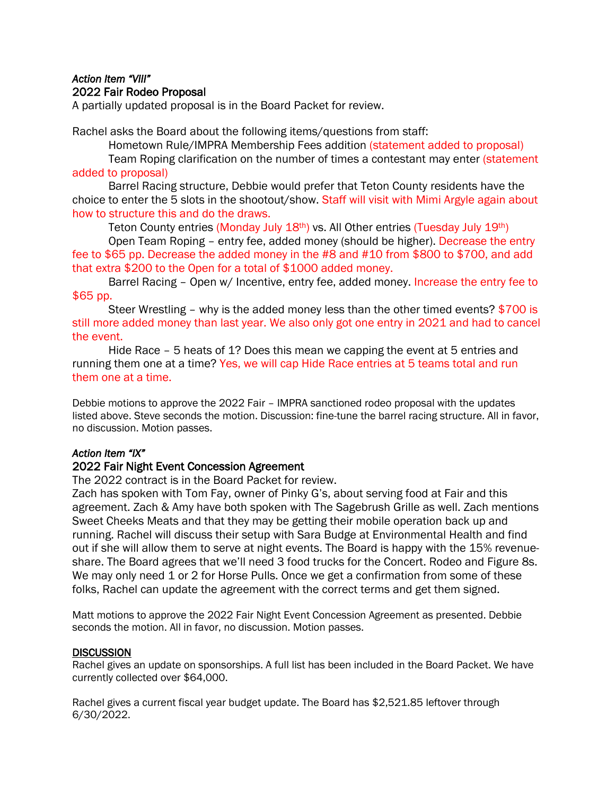#### *Action Item "VIII"*  2022 Fair Rodeo Proposal

A partially updated proposal is in the Board Packet for review.

Rachel asks the Board about the following items/questions from staff:

Hometown Rule/IMPRA Membership Fees addition (statement added to proposal)

Team Roping clarification on the number of times a contestant may enter (statement added to proposal)

Barrel Racing structure, Debbie would prefer that Teton County residents have the choice to enter the 5 slots in the shootout/show. Staff will visit with Mimi Argyle again about how to structure this and do the draws.

Teton County entries (Monday July 18<sup>th</sup>) vs. All Other entries (Tuesday July 19<sup>th</sup>)

Open Team Roping – entry fee, added money (should be higher). Decrease the entry fee to \$65 pp. Decrease the added money in the #8 and #10 from \$800 to \$700, and add that extra \$200 to the Open for a total of \$1000 added money.

Barrel Racing - Open w/ Incentive, entry fee, added money. Increase the entry fee to \$65 pp.

Steer Wrestling – why is the added money less than the other timed events? \$700 is still more added money than last year. We also only got one entry in 2021 and had to cancel the event.

Hide Race – 5 heats of 1? Does this mean we capping the event at 5 entries and running them one at a time? Yes, we will cap Hide Race entries at 5 teams total and run them one at a time.

Debbie motions to approve the 2022 Fair – IMPRA sanctioned rodeo proposal with the updates listed above. Steve seconds the motion. Discussion: fine-tune the barrel racing structure. All in favor, no discussion. Motion passes.

# *Action Item "IX"*

## 2022 Fair Night Event Concession Agreement

The 2022 contract is in the Board Packet for review.

Zach has spoken with Tom Fay, owner of Pinky G's, about serving food at Fair and this agreement. Zach & Amy have both spoken with The Sagebrush Grille as well. Zach mentions Sweet Cheeks Meats and that they may be getting their mobile operation back up and running. Rachel will discuss their setup with Sara Budge at Environmental Health and find out if she will allow them to serve at night events. The Board is happy with the 15% revenueshare. The Board agrees that we'll need 3 food trucks for the Concert. Rodeo and Figure 8s. We may only need 1 or 2 for Horse Pulls. Once we get a confirmation from some of these folks, Rachel can update the agreement with the correct terms and get them signed.

Matt motions to approve the 2022 Fair Night Event Concession Agreement as presented. Debbie seconds the motion. All in favor, no discussion. Motion passes.

#### **DISCUSSION**

Rachel gives an update on sponsorships. A full list has been included in the Board Packet. We have currently collected over \$64,000.

Rachel gives a current fiscal year budget update. The Board has \$2,521.85 leftover through 6/30/2022.